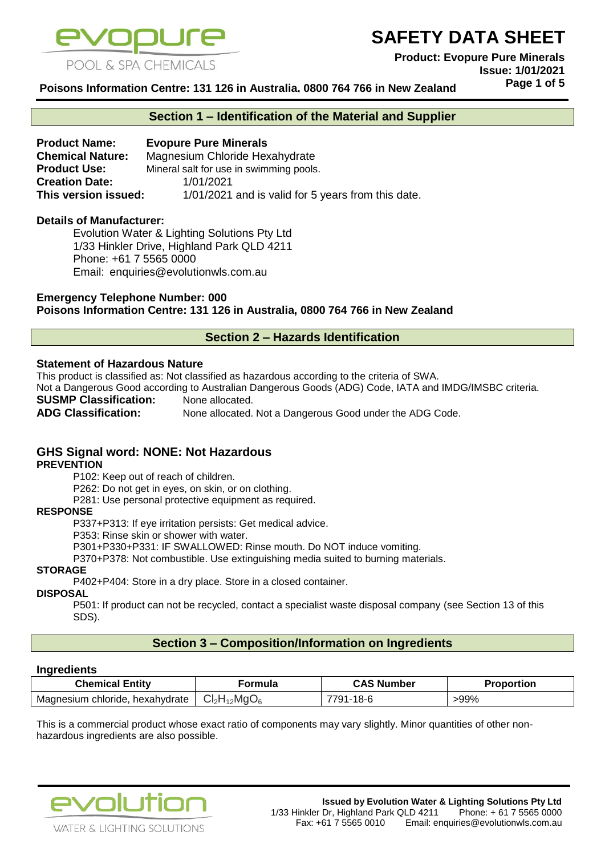

**Product: Evopure Pure Minerals Issue: 1/01/2021 Page 1 of 5**

**Poisons Information Centre: 131 126 in Australia, 0800 764 766 in New Zealand**

#### **Section 1 – Identification of the Material and Supplier**

**Product Name: Evopure Pure Minerals Chemical Nature:** Magnesium Chloride Hexahydrate **Product Use:** Mineral salt for use in swimming pools. **Creation Date:** 1/01/2021 **This version issued:** 1/01/2021 and is valid for 5 years from this date.

#### **Details of Manufacturer:**

Evolution Water & Lighting Solutions Pty Ltd 1/33 Hinkler Drive, Highland Park QLD 4211 Phone: +61 7 5565 0000 Email: [enquiries@evolutionwls.com.au](mailto:enquiries@evolutionwls.com.au)

**Emergency Telephone Number: 000 Poisons Information Centre: 131 126 in Australia, 0800 764 766 in New Zealand**

#### **Section 2 – Hazards Identification**

#### **Statement of Hazardous Nature**

This product is classified as: Not classified as hazardous according to the criteria of SWA.

Not a Dangerous Good according to Australian Dangerous Goods (ADG) Code, IATA and IMDG/IMSBC criteria.

**SUSMP Classification:** None allocated.

**ADG Classification:** None allocated. Not a Dangerous Good under the ADG Code.

## **GHS Signal word: NONE: Not Hazardous**

#### **PREVENTION**

P102: Keep out of reach of children.

P262: Do not get in eyes, on skin, or on clothing.

P281: Use personal protective equipment as required.

#### **RESPONSE**

P337+P313: If eye irritation persists: Get medical advice.

P353: Rinse skin or shower with water.

P301+P330+P331: IF SWALLOWED: Rinse mouth. Do NOT induce vomiting.

P370+P378: Not combustible. Use extinguishing media suited to burning materials.

#### **STORAGE**

P402+P404: Store in a dry place. Store in a closed container.

#### **DISPOSAL**

P501: If product can not be recycled, contact a specialist waste disposal company (see Section 13 of this SDS).

## **Section 3 – Composition/Information on Ingredients**

#### **Ingredients**

| <b>Chemical Entity</b>               | ormula                      | CAS I<br>. Number | Proportion |
|--------------------------------------|-----------------------------|-------------------|------------|
| Magnesium chloride,<br>, hexahydrate | $1_{12}$ Mg $O_6$<br>ا ا⊲ات | 791-18-6          | -99%       |

This is a commercial product whose exact ratio of components may vary slightly. Minor quantities of other nonhazardous ingredients are also possible.

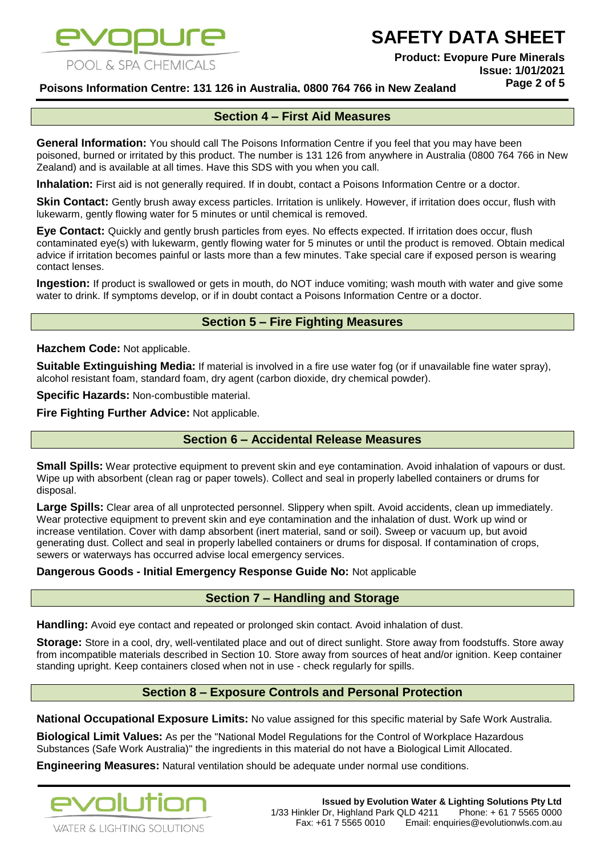

**Product: Evopure Pure Minerals Issue: 1/01/2021 Page 2 of 5**

**Poisons Information Centre: 131 126 in Australia, 0800 764 766 in New Zealand**

## **Section 4 – First Aid Measures**

**General Information:** You should call The Poisons Information Centre if you feel that you may have been poisoned, burned or irritated by this product. The number is 131 126 from anywhere in Australia (0800 764 766 in New Zealand) and is available at all times. Have this SDS with you when you call.

**Inhalation:** First aid is not generally required. If in doubt, contact a Poisons Information Centre or a doctor.

**Skin Contact:** Gently brush away excess particles. Irritation is unlikely. However, if irritation does occur, flush with lukewarm, gently flowing water for 5 minutes or until chemical is removed.

**Eye Contact:** Quickly and gently brush particles from eyes. No effects expected. If irritation does occur, flush contaminated eye(s) with lukewarm, gently flowing water for 5 minutes or until the product is removed. Obtain medical advice if irritation becomes painful or lasts more than a few minutes. Take special care if exposed person is wearing contact lenses.

**Ingestion:** If product is swallowed or gets in mouth, do NOT induce vomiting; wash mouth with water and give some water to drink. If symptoms develop, or if in doubt contact a Poisons Information Centre or a doctor.

## **Section 5 – Fire Fighting Measures**

**Hazchem Code:** Not applicable.

**Suitable Extinguishing Media:** If material is involved in a fire use water fog (or if unavailable fine water spray), alcohol resistant foam, standard foam, dry agent (carbon dioxide, dry chemical powder).

**Specific Hazards:** Non-combustible material.

**Fire Fighting Further Advice:** Not applicable.

## **Section 6 – Accidental Release Measures**

**Small Spills:** Wear protective equipment to prevent skin and eye contamination. Avoid inhalation of vapours or dust. Wipe up with absorbent (clean rag or paper towels). Collect and seal in properly labelled containers or drums for disposal.

**Large Spills:** Clear area of all unprotected personnel. Slippery when spilt. Avoid accidents, clean up immediately. Wear protective equipment to prevent skin and eye contamination and the inhalation of dust. Work up wind or increase ventilation. Cover with damp absorbent (inert material, sand or soil). Sweep or vacuum up, but avoid generating dust. Collect and seal in properly labelled containers or drums for disposal. If contamination of crops, sewers or waterways has occurred advise local emergency services.

**Dangerous Goods - Initial Emergency Response Guide No:** Not applicable

#### **Section 7 – Handling and Storage**

**Handling:** Avoid eye contact and repeated or prolonged skin contact. Avoid inhalation of dust.

**Storage:** Store in a cool, dry, well-ventilated place and out of direct sunlight. Store away from foodstuffs. Store away from incompatible materials described in Section 10. Store away from sources of heat and/or ignition. Keep container standing upright. Keep containers closed when not in use - check regularly for spills.

## **Section 8 – Exposure Controls and Personal Protection**

**National Occupational Exposure Limits:** No value assigned for this specific material by Safe Work Australia.

**Biological Limit Values:** As per the "National Model Regulations for the Control of Workplace Hazardous Substances (Safe Work Australia)" the ingredients in this material do not have a Biological Limit Allocated.

**Engineering Measures:** Natural ventilation should be adequate under normal use conditions.

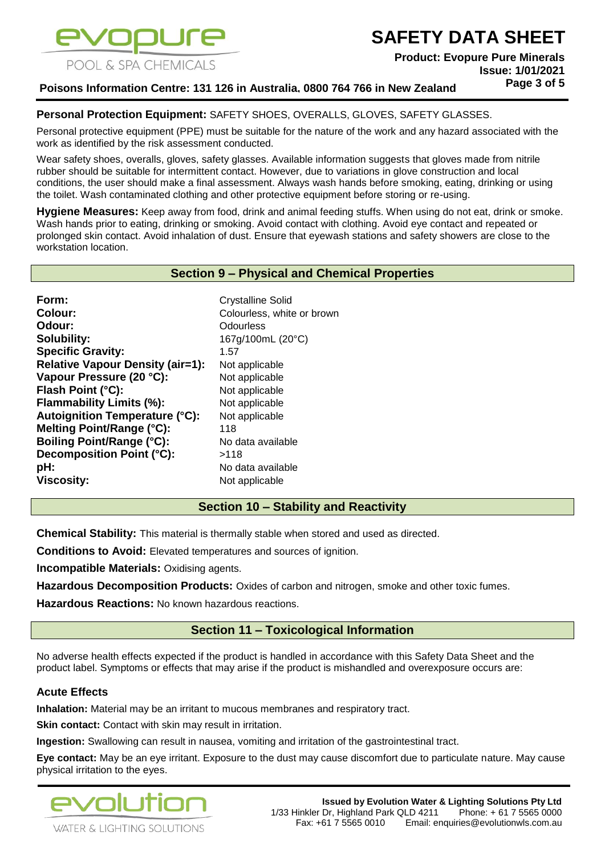

**Product: Evopure Pure Minerals Issue: 1/01/2021 Page 3 of 5**

## **Poisons Information Centre: 131 126 in Australia, 0800 764 766 in New Zealand**

#### **Personal Protection Equipment:** SAFETY SHOES, OVERALLS, GLOVES, SAFETY GLASSES.

Personal protective equipment (PPE) must be suitable for the nature of the work and any hazard associated with the work as identified by the risk assessment conducted.

Wear safety shoes, overalls, gloves, safety glasses. Available information suggests that gloves made from nitrile rubber should be suitable for intermittent contact. However, due to variations in glove construction and local conditions, the user should make a final assessment. Always wash hands before smoking, eating, drinking or using the toilet. Wash contaminated clothing and other protective equipment before storing or re-using.

**Hygiene Measures:** Keep away from food, drink and animal feeding stuffs. When using do not eat, drink or smoke. Wash hands prior to eating, drinking or smoking. Avoid contact with clothing. Avoid eye contact and repeated or prolonged skin contact. Avoid inhalation of dust. Ensure that eyewash stations and safety showers are close to the workstation location.

#### **Section 9 – Physical and Chemical Properties**

Form: **Form:** Crystalline Solid **Colour:** Colourless, white or brown **Odour:** Odourless **Solubility:** 167g/100mL (20°C) **Specific Gravity:** 1.57 **Relative Vapour Density (air=1):** Not applicable **Vapour Pressure (20 °C):** Not applicable **Flash Point (°C):** Not applicable **Flammability Limits (%):** Not applicable **Autoignition Temperature (°C):** Not applicable **Melting Point/Range (°C):** 118 **Boiling Point/Range (°C):** No data available **Decomposition Point (°C):** >118 **pH:** No data available **Viscosity:** Not applicable

#### **Section 10 – Stability and Reactivity**

**Chemical Stability:** This material is thermally stable when stored and used as directed.

**Conditions to Avoid:** Elevated temperatures and sources of ignition.

**Incompatible Materials: Oxidising agents.** 

**Hazardous Decomposition Products:** Oxides of carbon and nitrogen, smoke and other toxic fumes.

**Hazardous Reactions:** No known hazardous reactions.

## **Section 11 – Toxicological Information**

No adverse health effects expected if the product is handled in accordance with this Safety Data Sheet and the product label. Symptoms or effects that may arise if the product is mishandled and overexposure occurs are:

#### **Acute Effects**

**Inhalation:** Material may be an irritant to mucous membranes and respiratory tract.

**Skin contact:** Contact with skin may result in irritation.

**Ingestion:** Swallowing can result in nausea, vomiting and irritation of the gastrointestinal tract.

**Eye contact:** May be an eye irritant. Exposure to the dust may cause discomfort due to particulate nature. May cause physical irritation to the eyes.

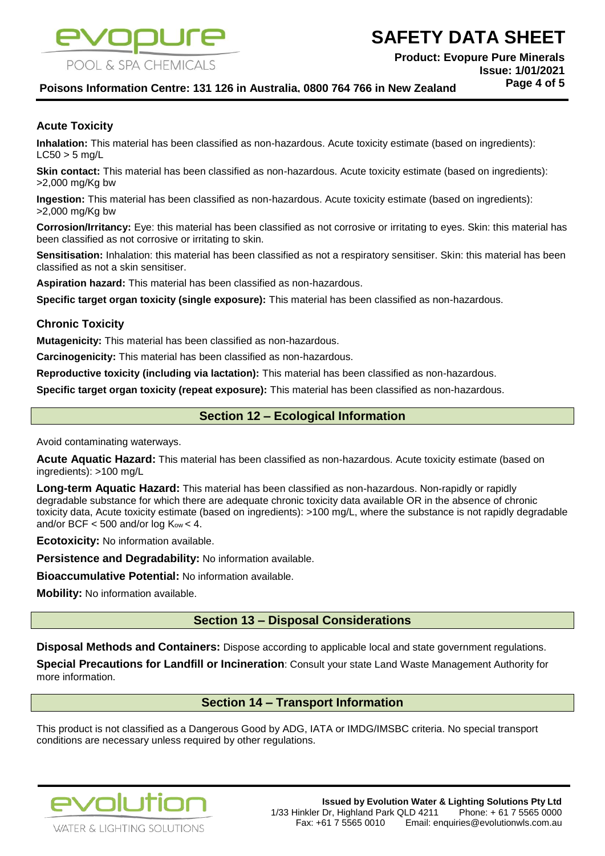

**Product: Evopure Pure Minerals Issue: 1/01/2021**

**Page 4 of 5**

## **Poisons Information Centre: 131 126 in Australia, 0800 764 766 in New Zealand**

#### **Acute Toxicity**

**Inhalation:** This material has been classified as non-hazardous. Acute toxicity estimate (based on ingredients):  $LC50 > 5$  ma/L

**Skin contact:** This material has been classified as non-hazardous. Acute toxicity estimate (based on ingredients): >2,000 mg/Kg bw

**Ingestion:** This material has been classified as non-hazardous. Acute toxicity estimate (based on ingredients): >2,000 mg/Kg bw

**Corrosion/Irritancy:** Eye: this material has been classified as not corrosive or irritating to eyes. Skin: this material has been classified as not corrosive or irritating to skin.

**Sensitisation:** Inhalation: this material has been classified as not a respiratory sensitiser. Skin: this material has been classified as not a skin sensitiser.

**Aspiration hazard:** This material has been classified as non-hazardous.

**Specific target organ toxicity (single exposure):** This material has been classified as non-hazardous.

#### **Chronic Toxicity**

**Mutagenicity:** This material has been classified as non-hazardous.

**Carcinogenicity:** This material has been classified as non-hazardous.

**Reproductive toxicity (including via lactation):** This material has been classified as non-hazardous.

**Specific target organ toxicity (repeat exposure):** This material has been classified as non-hazardous.

## **Section 12 – Ecological Information**

Avoid contaminating waterways.

**Acute Aquatic Hazard:** This material has been classified as non-hazardous. Acute toxicity estimate (based on ingredients): >100 mg/L

**Long-term Aquatic Hazard:** This material has been classified as non-hazardous. Non-rapidly or rapidly degradable substance for which there are adequate chronic toxicity data available OR in the absence of chronic toxicity data, Acute toxicity estimate (based on ingredients): >100 mg/L, where the substance is not rapidly degradable and/or BCF  $<$  500 and/or log Kow  $<$  4.

**Ecotoxicity:** No information available.

**Persistence and Degradability:** No information available.

**Bioaccumulative Potential:** No information available.

**Mobility:** No information available.

## **Section 13 – Disposal Considerations**

**Disposal Methods and Containers:** Dispose according to applicable local and state government regulations.

**Special Precautions for Landfill or Incineration**: Consult your state Land Waste Management Authority for more information.

## **Section 14 – Transport Information**

This product is not classified as a Dangerous Good by ADG, IATA or IMDG/IMSBC criteria. No special transport conditions are necessary unless required by other regulations.